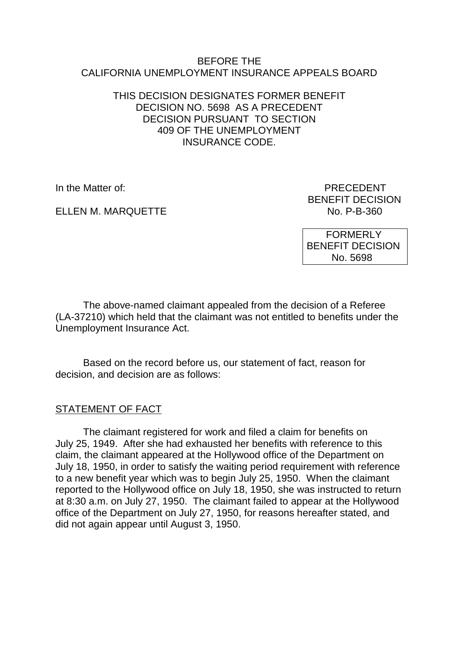#### BEFORE THE CALIFORNIA UNEMPLOYMENT INSURANCE APPEALS BOARD

### THIS DECISION DESIGNATES FORMER BENEFIT DECISION NO. 5698 AS A PRECEDENT DECISION PURSUANT TO SECTION 409 OF THE UNEMPLOYMENT INSURANCE CODE.

ELLEN M. MARQUETTE

In the Matter of: PRECEDENT BENEFIT DECISION<br>No. P-B-360

> FORMERLY BENEFIT DECISION No. 5698

The above-named claimant appealed from the decision of a Referee (LA-37210) which held that the claimant was not entitled to benefits under the Unemployment Insurance Act.

Based on the record before us, our statement of fact, reason for decision, and decision are as follows:

# STATEMENT OF FACT

The claimant registered for work and filed a claim for benefits on July 25, 1949. After she had exhausted her benefits with reference to this claim, the claimant appeared at the Hollywood office of the Department on July 18, 1950, in order to satisfy the waiting period requirement with reference to a new benefit year which was to begin July 25, 1950. When the claimant reported to the Hollywood office on July 18, 1950, she was instructed to return at 8:30 a.m. on July 27, 1950. The claimant failed to appear at the Hollywood office of the Department on July 27, 1950, for reasons hereafter stated, and did not again appear until August 3, 1950.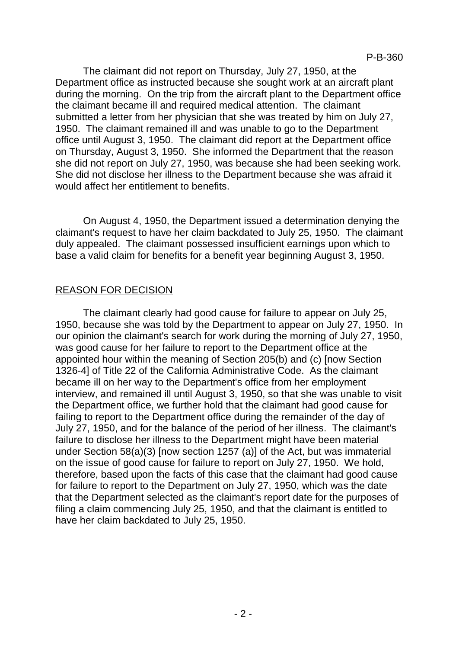The claimant did not report on Thursday, July 27, 1950, at the Department office as instructed because she sought work at an aircraft plant during the morning. On the trip from the aircraft plant to the Department office the claimant became ill and required medical attention. The claimant submitted a letter from her physician that she was treated by him on July 27, 1950. The claimant remained ill and was unable to go to the Department office until August 3, 1950. The claimant did report at the Department office on Thursday, August 3, 1950. She informed the Department that the reason she did not report on July 27, 1950, was because she had been seeking work. She did not disclose her illness to the Department because she was afraid it would affect her entitlement to benefits.

On August 4, 1950, the Department issued a determination denying the claimant's request to have her claim backdated to July 25, 1950. The claimant duly appealed. The claimant possessed insufficient earnings upon which to base a valid claim for benefits for a benefit year beginning August 3, 1950.

## REASON FOR DECISION

The claimant clearly had good cause for failure to appear on July 25, 1950, because she was told by the Department to appear on July 27, 1950. In our opinion the claimant's search for work during the morning of July 27, 1950, was good cause for her failure to report to the Department office at the appointed hour within the meaning of Section 205(b) and (c) [now Section 1326-4] of Title 22 of the California Administrative Code. As the claimant became ill on her way to the Department's office from her employment interview, and remained ill until August 3, 1950, so that she was unable to visit the Department office, we further hold that the claimant had good cause for failing to report to the Department office during the remainder of the day of July 27, 1950, and for the balance of the period of her illness. The claimant's failure to disclose her illness to the Department might have been material under Section 58(a)(3) [now section 1257 (a)] of the Act, but was immaterial on the issue of good cause for failure to report on July 27, 1950. We hold, therefore, based upon the facts of this case that the claimant had good cause for failure to report to the Department on July 27, 1950, which was the date that the Department selected as the claimant's report date for the purposes of filing a claim commencing July 25, 1950, and that the claimant is entitled to have her claim backdated to July 25, 1950.